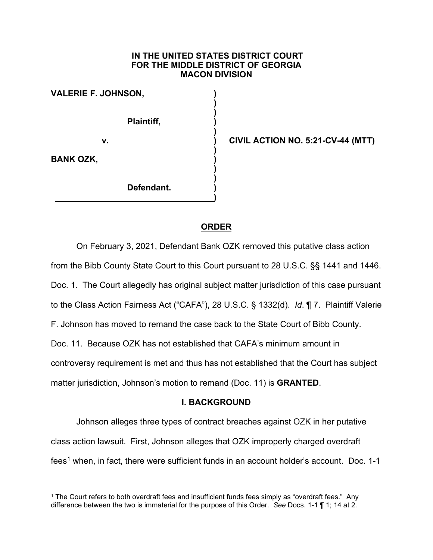#### **IN THE UNITED STATES DISTRICT COURT FOR THE MIDDLE DISTRICT OF GEORGIA MACON DIVISION**

**) )**

**)**

**)** 

**) )**

**VALERIE F. JOHNSON, )**

**Plaintiff, )**

**v. ) CIVIL ACTION NO. 5:21-CV-44 (MTT)**

**BANK OZK, )**

**Defendant. )**

**\_\_\_\_\_\_\_\_\_\_\_\_\_\_\_\_\_\_ )**

# **ORDER**

On February 3, 2021, Defendant Bank OZK removed this putative class action from the Bibb County State Court to this Court pursuant to 28 U.S.C. §§ 1441 and 1446. Doc. 1. The Court allegedly has original subject matter jurisdiction of this case pursuant to the Class Action Fairness Act ("CAFA"), 28 U.S.C. § 1332(d). *Id*. ¶ 7. Plaintiff Valerie F. Johnson has moved to remand the case back to the State Court of Bibb County. Doc. 11. Because OZK has not established that CAFA's minimum amount in controversy requirement is met and thus has not established that the Court has subject matter jurisdiction, Johnson's motion to remand (Doc. 11) is **GRANTED**.

### **I. BACKGROUND**

Johnson alleges three types of contract breaches against OZK in her putative class action lawsuit. First, Johnson alleges that OZK improperly charged overdraft  $fees<sup>1</sup>$  $fees<sup>1</sup>$  $fees<sup>1</sup>$  when, in fact, there were sufficient funds in an account holder's account. Doc. 1-1

<span id="page-0-0"></span><sup>1</sup> The Court refers to both overdraft fees and insufficient funds fees simply as "overdraft fees." Any difference between the two is immaterial for the purpose of this Order. *See* Docs. 1-1 ¶ 1; 14 at 2.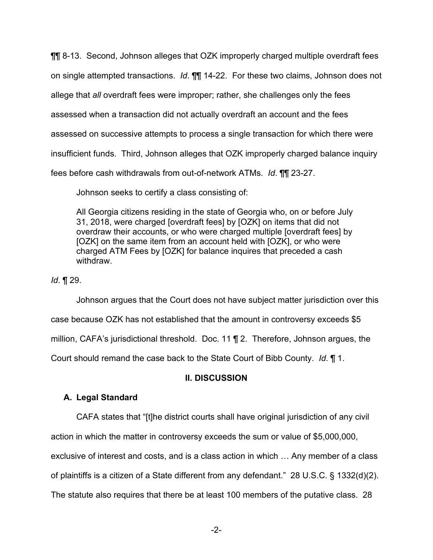¶¶ 8-13. Second, Johnson alleges that OZK improperly charged multiple overdraft fees on single attempted transactions. *Id*. ¶¶ 14-22. For these two claims, Johnson does not allege that *all* overdraft fees were improper; rather, she challenges only the fees assessed when a transaction did not actually overdraft an account and the fees assessed on successive attempts to process a single transaction for which there were insufficient funds. Third, Johnson alleges that OZK improperly charged balance inquiry fees before cash withdrawals from out-of-network ATMs. *Id*. ¶¶ 23-27.

Johnson seeks to certify a class consisting of:

All Georgia citizens residing in the state of Georgia who, on or before July 31, 2018, were charged [overdraft fees] by [OZK] on items that did not overdraw their accounts, or who were charged multiple [overdraft fees] by [OZK] on the same item from an account held with [OZK], or who were charged ATM Fees by [OZK] for balance inquires that preceded a cash withdraw.

*Id*. ¶ 29.

Johnson argues that the Court does not have subject matter jurisdiction over this case because OZK has not established that the amount in controversy exceeds \$5 million, CAFA's jurisdictional threshold. Doc. 11 ¶ 2. Therefore, Johnson argues, the Court should remand the case back to the State Court of Bibb County. *Id*. ¶ 1.

# **II. DISCUSSION**

# **A. Legal Standard**

CAFA states that "[t]he district courts shall have original jurisdiction of any civil action in which the matter in controversy exceeds the sum or value of \$5,000,000,

exclusive of interest and costs, and is a class action in which … Any member of a class of plaintiffs is a citizen of a State different from any defendant." 28 U.S.C. § 1332(d)(2).

The statute also requires that there be at least 100 members of the putative class. 28

-2-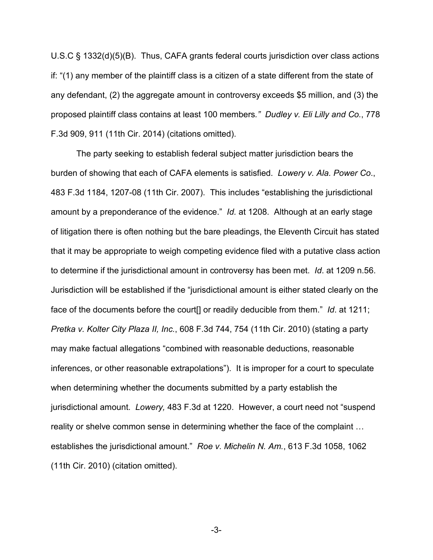U.S.C § 1332(d)(5)(B). Thus, CAFA grants federal courts jurisdiction over class actions if: "(1) any member of the plaintiff class is a citizen of a state different from the state of any defendant, (2) the aggregate amount in controversy exceeds \$5 million, and (3) the proposed plaintiff class contains at least 100 members*." Dudley v. Eli Lilly and Co.*, 778 F.3d 909, 911 (11th Cir. 2014) (citations omitted).

The party seeking to establish federal subject matter jurisdiction bears the burden of showing that each of CAFA elements is satisfied. *Lowery v. Ala. Power Co*., 483 F.3d 1184, 1207-08 (11th Cir. 2007). This includes "establishing the jurisdictional amount by a preponderance of the evidence." *Id.* at 1208. Although at an early stage of litigation there is often nothing but the bare pleadings, the Eleventh Circuit has stated that it may be appropriate to weigh competing evidence filed with a putative class action to determine if the jurisdictional amount in controversy has been met. *Id*. at 1209 n.56. Jurisdiction will be established if the "jurisdictional amount is either stated clearly on the face of the documents before the court[] or readily deducible from them." *Id*. at 1211; *Pretka v. Kolter City Plaza II, Inc.*, 608 F.3d 744, 754 (11th Cir. 2010) (stating a party may make factual allegations "combined with reasonable deductions, reasonable inferences, or other reasonable extrapolations"). It is improper for a court to speculate when determining whether the documents submitted by a party establish the jurisdictional amount. *Lowery,* 483 F.3d at 1220. However, a court need not "suspend reality or shelve common sense in determining whether the face of the complaint … establishes the jurisdictional amount." *Roe v. Michelin N. Am.*, 613 F.3d 1058, 1062 (11th Cir. 2010) (citation omitted).

-3-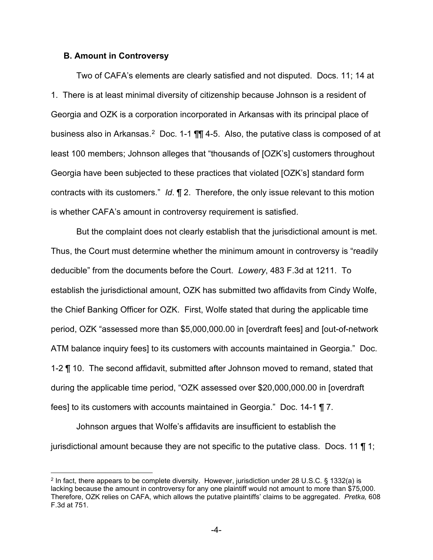#### **B. Amount in Controversy**

Two of CAFA's elements are clearly satisfied and not disputed. Docs. 11; 14 at 1. There is at least minimal diversity of citizenship because Johnson is a resident of Georgia and OZK is a corporation incorporated in Arkansas with its principal place of business also in Arkansas.<sup>[2](#page-3-0)</sup> Doc. 1-1 **[1]** 4-5. Also, the putative class is composed of at least 100 members; Johnson alleges that "thousands of [OZK's] customers throughout Georgia have been subjected to these practices that violated [OZK's] standard form contracts with its customers." *Id*. ¶ 2. Therefore, the only issue relevant to this motion is whether CAFA's amount in controversy requirement is satisfied.

But the complaint does not clearly establish that the jurisdictional amount is met. Thus, the Court must determine whether the minimum amount in controversy is "readily deducible" from the documents before the Court. *Lowery*, 483 F.3d at 1211. To establish the jurisdictional amount, OZK has submitted two affidavits from Cindy Wolfe, the Chief Banking Officer for OZK. First, Wolfe stated that during the applicable time period, OZK "assessed more than \$5,000,000.00 in [overdraft fees] and [out-of-network ATM balance inquiry fees] to its customers with accounts maintained in Georgia." Doc. 1-2 ¶ 10. The second affidavit, submitted after Johnson moved to remand, stated that during the applicable time period, "OZK assessed over \$20,000,000.00 in [overdraft fees] to its customers with accounts maintained in Georgia." Doc. 14-1 ¶ 7.

Johnson argues that Wolfe's affidavits are insufficient to establish the jurisdictional amount because they are not specific to the putative class. Docs. 11  $\P$  1;

<span id="page-3-0"></span><sup>2</sup> In fact, there appears to be complete diversity. However, jurisdiction under 28 U.S.C. § 1332(a) is lacking because the amount in controversy for any one plaintiff would not amount to more than \$75,000. Therefore, OZK relies on CAFA, which allows the putative plaintiffs' claims to be aggregated. *Pretka,* 608 F.3d at 751.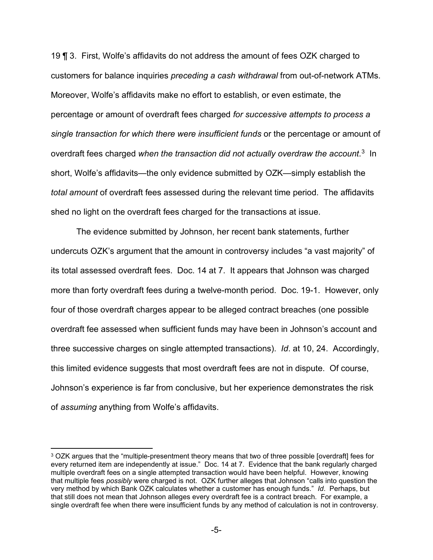19 ¶ 3. First, Wolfe's affidavits do not address the amount of fees OZK charged to customers for balance inquiries *preceding a cash withdrawal* from out-of-network ATMs. Moreover, Wolfe's affidavits make no effort to establish, or even estimate, the percentage or amount of overdraft fees charged *for successive attempts to process a single transaction for which there were insufficient funds* or the percentage or amount of overdraft fees charged *when the transaction did not actually overdraw the account*. [3](#page-4-0) In short, Wolfe's affidavits—the only evidence submitted by OZK—simply establish the *total amount* of overdraft fees assessed during the relevant time period. The affidavits shed no light on the overdraft fees charged for the transactions at issue.

The evidence submitted by Johnson, her recent bank statements, further undercuts OZK's argument that the amount in controversy includes "a vast majority" of its total assessed overdraft fees. Doc. 14 at 7. It appears that Johnson was charged more than forty overdraft fees during a twelve-month period. Doc. 19-1. However, only four of those overdraft charges appear to be alleged contract breaches (one possible overdraft fee assessed when sufficient funds may have been in Johnson's account and three successive charges on single attempted transactions). *Id*. at 10, 24. Accordingly, this limited evidence suggests that most overdraft fees are not in dispute. Of course, Johnson's experience is far from conclusive, but her experience demonstrates the risk of *assuming* anything from Wolfe's affidavits.

<span id="page-4-0"></span><sup>3</sup> OZK argues that the "multiple-presentment theory means that two of three possible [overdraft] fees for every returned item are independently at issue." Doc. 14 at 7. Evidence that the bank regularly charged multiple overdraft fees on a single attempted transaction would have been helpful. However, knowing that multiple fees *possibly* were charged is not. OZK further alleges that Johnson "calls into question the very method by which Bank OZK calculates whether a customer has enough funds." *Id*. Perhaps, but that still does not mean that Johnson alleges every overdraft fee is a contract breach. For example, a single overdraft fee when there were insufficient funds by any method of calculation is not in controversy.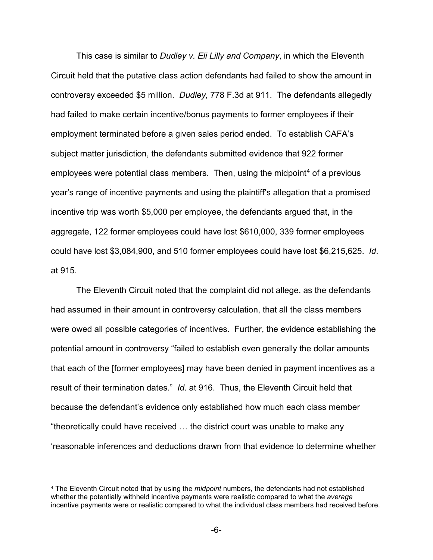This case is similar to *Dudley v. Eli Lilly and Company*, in which the Eleventh Circuit held that the putative class action defendants had failed to show the amount in controversy exceeded \$5 million. *Dudley,* 778 F.3d at 911. The defendants allegedly had failed to make certain incentive/bonus payments to former employees if their employment terminated before a given sales period ended. To establish CAFA's subject matter jurisdiction, the defendants submitted evidence that 922 former employees were potential class members. Then, using the midpoint<sup>[4](#page-5-0)</sup> of a previous year's range of incentive payments and using the plaintiff's allegation that a promised incentive trip was worth \$5,000 per employee, the defendants argued that, in the aggregate, 122 former employees could have lost \$610,000, 339 former employees could have lost \$3,084,900, and 510 former employees could have lost \$6,215,625. *Id*. at 915.

The Eleventh Circuit noted that the complaint did not allege, as the defendants had assumed in their amount in controversy calculation, that all the class members were owed all possible categories of incentives. Further, the evidence establishing the potential amount in controversy "failed to establish even generally the dollar amounts that each of the [former employees] may have been denied in payment incentives as a result of their termination dates." *Id*. at 916. Thus, the Eleventh Circuit held that because the defendant's evidence only established how much each class member "theoretically could have received … the district court was unable to make any 'reasonable inferences and deductions drawn from that evidence to determine whether

<span id="page-5-0"></span><sup>4</sup> The Eleventh Circuit noted that by using the *midpoint* numbers, the defendants had not established whether the potentially withheld incentive payments were realistic compared to what the *average* incentive payments were or realistic compared to what the individual class members had received before.